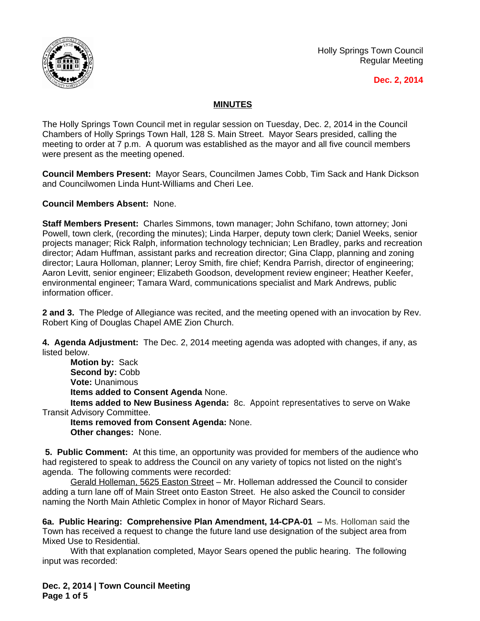

Holly Springs Town Council Regular Meeting

## **Dec. 2, 2014**

## **MINUTES**

The Holly Springs Town Council met in regular session on Tuesday, Dec. 2, 2014 in the Council Chambers of Holly Springs Town Hall, 128 S. Main Street. Mayor Sears presided, calling the meeting to order at 7 p.m. A quorum was established as the mayor and all five council members were present as the meeting opened.

**Council Members Present:** Mayor Sears, Councilmen James Cobb, Tim Sack and Hank Dickson and Councilwomen Linda Hunt-Williams and Cheri Lee.

**Council Members Absent:** None.

**Staff Members Present:** Charles Simmons, town manager; John Schifano, town attorney; Joni Powell, town clerk, (recording the minutes); Linda Harper, deputy town clerk; Daniel Weeks, senior projects manager; Rick Ralph, information technology technician; Len Bradley, parks and recreation director; Adam Huffman, assistant parks and recreation director; Gina Clapp, planning and zoning director; Laura Holloman, planner; Leroy Smith, fire chief; Kendra Parrish, director of engineering; Aaron Levitt, senior engineer; Elizabeth Goodson, development review engineer; Heather Keefer, environmental engineer; Tamara Ward, communications specialist and Mark Andrews, public information officer.

**2 and 3.** The Pledge of Allegiance was recited, and the meeting opened with an invocation by Rev. Robert King of Douglas Chapel AME Zion Church.

**4. Agenda Adjustment:** The Dec. 2, 2014 meeting agenda was adopted with changes, if any, as listed below.

**Motion by:** Sack Second by: Cobb **Vote:** Unanimous **Items added to Consent Agenda** None.

**Items added to New Business Agenda:** 8c. Appoint representatives to serve on Wake Transit Advisory Committee.

**Items removed from Consent Agenda:** None. **Other changes:** None.

**5. Public Comment:** At this time, an opportunity was provided for members of the audience who had registered to speak to address the Council on any variety of topics not listed on the night's agenda. The following comments were recorded:

Gerald Holleman, 5625 Easton Street – Mr. Holleman addressed the Council to consider adding a turn lane off of Main Street onto Easton Street. He also asked the Council to consider naming the North Main Athletic Complex in honor of Mayor Richard Sears.

**6a. Public Hearing: Comprehensive Plan Amendment, 14-CPA-01 - Ms. Holloman said the** Town has received a request to change the future land use designation of the subject area from Mixed Use to Residential.

With that explanation completed, Mayor Sears opened the public hearing. The following input was recorded:

**Dec. 2, 2014 | Town Council Meeting Page 1 of 5**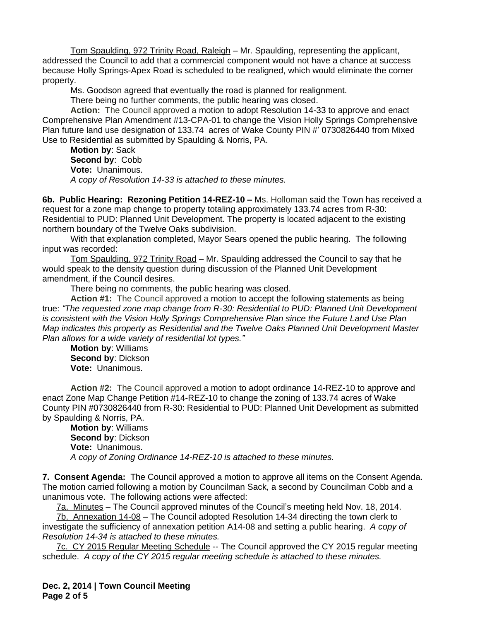Tom Spaulding, 972 Trinity Road, Raleigh – Mr. Spaulding, representing the applicant, addressed the Council to add that a commercial component would not have a chance at success because Holly Springs-Apex Road is scheduled to be realigned, which would eliminate the corner property.

Ms. Goodson agreed that eventually the road is planned for realignment.

There being no further comments, the public hearing was closed.

**Action:** The Council approved a motion to adopt Resolution 14-33 to approve and enact Comprehensive Plan Amendment #13-CPA-01 to change the Vision Holly Springs Comprehensive Plan future land use designation of 133.74 acres of Wake County PIN #' 0730826440 from Mixed Use to Residential as submitted by Spaulding & Norris, PA.

**Motion by**: Sack **Second by**: Cobb **Vote:** Unanimous. *A copy of Resolution 14-33 is attached to these minutes.*

**6b. Public Hearing: Rezoning Petition 14-REZ-10 –** Ms. Holloman said the Town has received a request for a zone map change to property totaling approximately 133.74 acres from R-30: Residential to PUD: Planned Unit Development. The property is located adjacent to the existing northern boundary of the Twelve Oaks subdivision.

With that explanation completed, Mayor Sears opened the public hearing. The following input was recorded:

Tom Spaulding, 972 Trinity Road – Mr. Spaulding addressed the Council to say that he would speak to the density question during discussion of the Planned Unit Development amendment, if the Council desires.

There being no comments, the public hearing was closed.

**Action #1:** The Council approved a motion to accept the following statements as being true: *"The requested zone map change from R-30: Residential to PUD: Planned Unit Development is consistent with the Vision Holly Springs Comprehensive Plan since the Future Land Use Plan Map indicates this property as Residential and the Twelve Oaks Planned Unit Development Master Plan allows for a wide variety of residential lot types."*

**Motion by**: Williams **Second by**: Dickson **Vote:** Unanimous.

**Action #2:** The Council approved a motion to adopt ordinance 14-REZ-10 to approve and enact Zone Map Change Petition #14-REZ-10 to change the zoning of 133.74 acres of Wake County PIN #0730826440 from R-30: Residential to PUD: Planned Unit Development as submitted by Spaulding & Norris, PA.

**Motion by**: Williams **Second by**: Dickson **Vote:** Unanimous. *A copy of Zoning Ordinance 14-REZ-10 is attached to these minutes.*

**7. Consent Agenda:** The Council approved a motion to approve all items on the Consent Agenda. The motion carried following a motion by Councilman Sack, a second by Councilman Cobb and a unanimous vote. The following actions were affected:

7a. Minutes – The Council approved minutes of the Council's meeting held Nov. 18, 2014.

7b. Annexation 14-08 – The Council adopted Resolution 14-34 directing the town clerk to investigate the sufficiency of annexation petition A14-08 and setting a public hearing. *A copy of Resolution 14-34 is attached to these minutes.*

7c. CY 2015 Regular Meeting Schedule -- The Council approved the CY 2015 regular meeting schedule. *A copy of the CY 2015 regular meeting schedule is attached to these minutes.*

**Dec. 2, 2014 | Town Council Meeting Page 2 of 5**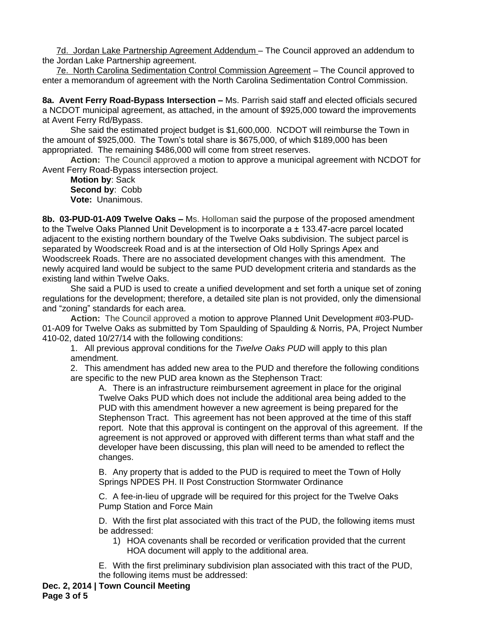7d. Jordan Lake Partnership Agreement Addendum – The Council approved an addendum to the Jordan Lake Partnership agreement.

7e. North Carolina Sedimentation Control Commission Agreement – The Council approved to enter a memorandum of agreement with the North Carolina Sedimentation Control Commission.

8a. Avent Ferry Road-Bypass Intersection - Ms. Parrish said staff and elected officials secured a NCDOT municipal agreement, as attached, in the amount of \$925,000 toward the improvements at Avent Ferry Rd/Bypass.

She said the estimated project budget is \$1,600,000. NCDOT will reimburse the Town in the amount of \$925,000. The Town's total share is \$675,000, of which \$189,000 has been appropriated. The remaining \$486,000 will come from street reserves.

**Action:** The Council approved a motion to approve a municipal agreement with NCDOT for Avent Ferry Road-Bypass intersection project.

**Motion by**: Sack **Second by**: Cobb **Vote:** Unanimous.

**8b. 03-PUD-01-A09 Twelve Oaks –** Ms. Holloman said the purpose of the proposed amendment to the Twelve Oaks Planned Unit Development is to incorporate  $a \pm 133.47$ -acre parcel located adjacent to the existing northern boundary of the Twelve Oaks subdivision. The subject parcel is separated by Woodscreek Road and is at the intersection of Old Holly Springs Apex and Woodscreek Roads. There are no associated development changes with this amendment. The newly acquired land would be subject to the same PUD development criteria and standards as the existing land within Twelve Oaks.

She said a PUD is used to create a unified development and set forth a unique set of zoning regulations for the development; therefore, a detailed site plan is not provided, only the dimensional and "zoning" standards for each area.

**Action:** The Council approved a motion to approve Planned Unit Development #03-PUD-01-A09 for Twelve Oaks as submitted by Tom Spaulding of Spaulding & Norris, PA, Project Number 410-02, dated 10/27/14 with the following conditions:

1. All previous approval conditions for the *Twelve Oaks PUD* will apply to this plan amendment.

2. This amendment has added new area to the PUD and therefore the following conditions are specific to the new PUD area known as the Stephenson Tract:

A. There is an infrastructure reimbursement agreement in place for the original Twelve Oaks PUD which does not include the additional area being added to the PUD with this amendment however a new agreement is being prepared for the Stephenson Tract. This agreement has not been approved at the time of this staff report. Note that this approval is contingent on the approval of this agreement. If the agreement is not approved or approved with different terms than what staff and the developer have been discussing, this plan will need to be amended to reflect the changes.

B. Any property that is added to the PUD is required to meet the Town of Holly Springs NPDES PH. II Post Construction Stormwater Ordinance

C. A fee-in-lieu of upgrade will be required for this project for the Twelve Oaks Pump Station and Force Main

D. With the first plat associated with this tract of the PUD, the following items must be addressed:

1) HOA covenants shall be recorded or verification provided that the current HOA document will apply to the additional area.

E. With the first preliminary subdivision plan associated with this tract of the PUD, the following items must be addressed: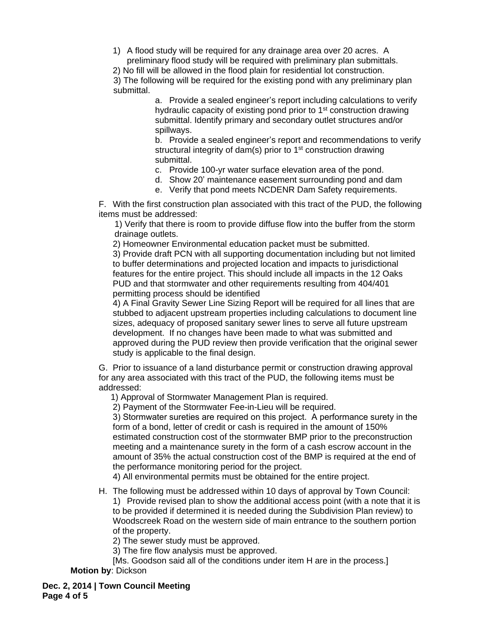1) A flood study will be required for any drainage area over 20 acres. A preliminary flood study will be required with preliminary plan submittals.

2) No fill will be allowed in the flood plain for residential lot construction. 3) The following will be required for the existing pond with any preliminary plan submittal.

a. Provide a sealed engineer's report including calculations to verify hydraulic capacity of existing pond prior to 1<sup>st</sup> construction drawing submittal. Identify primary and secondary outlet structures and/or spillways.

b. Provide a sealed engineer's report and recommendations to verify structural integrity of dam(s) prior to 1<sup>st</sup> construction drawing submittal.

c. Provide 100-yr water surface elevation area of the pond.

d. Show 20' maintenance easement surrounding pond and dam

e. Verify that pond meets NCDENR Dam Safety requirements.

F. With the first construction plan associated with this tract of the PUD, the following items must be addressed:

1) Verify that there is room to provide diffuse flow into the buffer from the storm drainage outlets.

2) Homeowner Environmental education packet must be submitted.

3) Provide draft PCN with all supporting documentation including but not limited to buffer determinations and projected location and impacts to jurisdictional features for the entire project. This should include all impacts in the 12 Oaks PUD and that stormwater and other requirements resulting from 404/401 permitting process should be identified

4) A Final Gravity Sewer Line Sizing Report will be required for all lines that are stubbed to adjacent upstream properties including calculations to document line sizes, adequacy of proposed sanitary sewer lines to serve all future upstream development. If no changes have been made to what was submitted and approved during the PUD review then provide verification that the original sewer study is applicable to the final design.

G. Prior to issuance of a land disturbance permit or construction drawing approval for any area associated with this tract of the PUD, the following items must be addressed:

1) Approval of Stormwater Management Plan is required.

2) Payment of the Stormwater Fee-in-Lieu will be required.

3) Stormwater sureties are required on this project. A performance surety in the form of a bond, letter of credit or cash is required in the amount of 150% estimated construction cost of the stormwater BMP prior to the preconstruction meeting and a maintenance surety in the form of a cash escrow account in the amount of 35% the actual construction cost of the BMP is required at the end of the performance monitoring period for the project.

4) All environmental permits must be obtained for the entire project.

H. The following must be addressed within 10 days of approval by Town Council: 1) Provide revised plan to show the additional access point (with a note that it is to be provided if determined it is needed during the Subdivision Plan review) to Woodscreek Road on the western side of main entrance to the southern portion of the property.

2) The sewer study must be approved.

3) The fire flow analysis must be approved.

[Ms. Goodson said all of the conditions under item H are in the process.] **Motion by**: Dickson